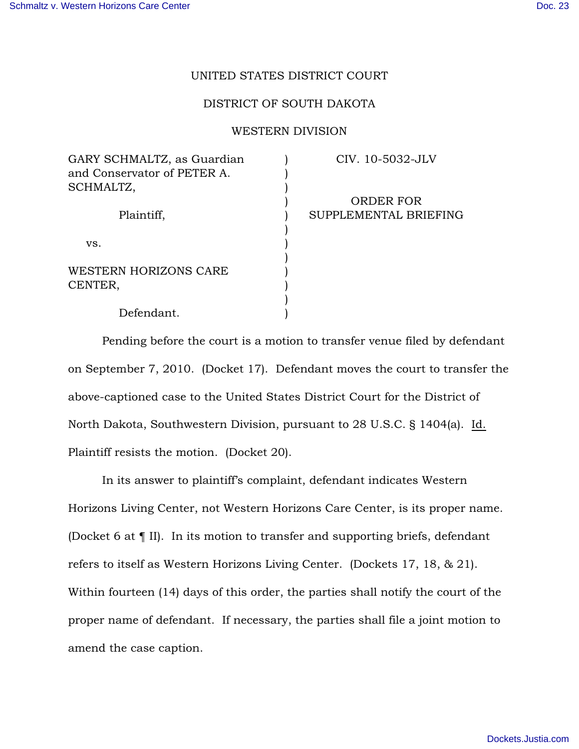## UNITED STATES DISTRICT COURT

## DISTRICT OF SOUTH DAKOTA

## WESTERN DIVISION

| GARY SCHMALTZ, as Guardian  |  |
|-----------------------------|--|
| and Conservator of PETER A. |  |
| SCHMALTZ,                   |  |
|                             |  |
| Plaintiff,                  |  |
|                             |  |
| VS.                         |  |
|                             |  |
| WESTERN HORIZONS CARE       |  |
| CENTER,                     |  |
|                             |  |
| Defendant.                  |  |

CIV. 10-5032-JLV

ORDER FOR SUPPLEMENTAL BRIEFING

Pending before the court is a motion to transfer venue filed by defendant on September 7, 2010. (Docket 17). Defendant moves the court to transfer the above-captioned case to the United States District Court for the District of North Dakota, Southwestern Division, pursuant to 28 U.S.C. § 1404(a). Id. Plaintiff resists the motion. (Docket 20).

In its answer to plaintiff's complaint, defendant indicates Western Horizons Living Center, not Western Horizons Care Center, is its proper name. (Docket 6 at ¶ II). In its motion to transfer and supporting briefs, defendant refers to itself as Western Horizons Living Center. (Dockets 17, 18, & 21). Within fourteen (14) days of this order, the parties shall notify the court of the proper name of defendant. If necessary, the parties shall file a joint motion to amend the case caption.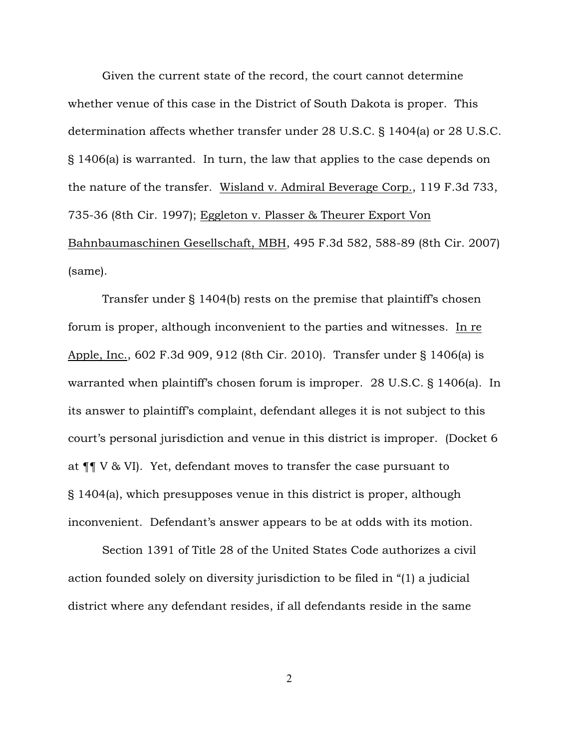Given the current state of the record, the court cannot determine whether venue of this case in the District of South Dakota is proper. This determination affects whether transfer under 28 U.S.C. § 1404(a) or 28 U.S.C. § 1406(a) is warranted. In turn, the law that applies to the case depends on the nature of the transfer. Wisland v. Admiral Beverage Corp., 119 F.3d 733, 735-36 (8th Cir. 1997); Eggleton v. Plasser & Theurer Export Von Bahnbaumaschinen Gesellschaft, MBH, 495 F.3d 582, 588-89 (8th Cir. 2007) (same).

Transfer under § 1404(b) rests on the premise that plaintiff's chosen forum is proper, although inconvenient to the parties and witnesses. In re Apple, Inc., 602 F.3d 909, 912 (8th Cir. 2010). Transfer under § 1406(a) is warranted when plaintiff's chosen forum is improper. 28 U.S.C. § 1406(a). In its answer to plaintiff's complaint, defendant alleges it is not subject to this court's personal jurisdiction and venue in this district is improper. (Docket 6 at ¶¶ V & VI). Yet, defendant moves to transfer the case pursuant to § 1404(a), which presupposes venue in this district is proper, although inconvenient. Defendant's answer appears to be at odds with its motion.

Section 1391 of Title 28 of the United States Code authorizes a civil action founded solely on diversity jurisdiction to be filed in "(1) a judicial district where any defendant resides, if all defendants reside in the same

2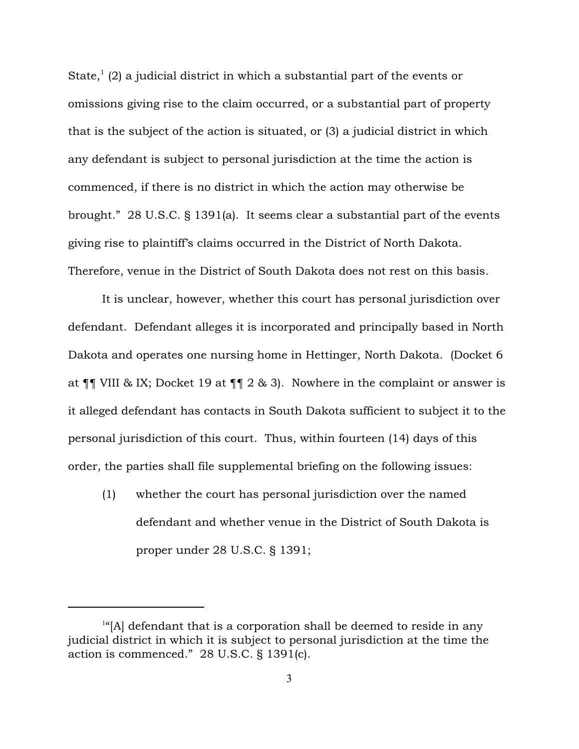State,  $(2)$  a judicial district in which a substantial part of the events or omissions giving rise to the claim occurred, or a substantial part of property that is the subject of the action is situated, or (3) a judicial district in which any defendant is subject to personal jurisdiction at the time the action is commenced, if there is no district in which the action may otherwise be brought." 28 U.S.C. § 1391(a). It seems clear a substantial part of the events giving rise to plaintiff's claims occurred in the District of North Dakota. Therefore, venue in the District of South Dakota does not rest on this basis.

It is unclear, however, whether this court has personal jurisdiction over defendant. Defendant alleges it is incorporated and principally based in North Dakota and operates one nursing home in Hettinger, North Dakota. (Docket 6 at ¶¶ VIII & IX; Docket 19 at ¶¶ 2 & 3). Nowhere in the complaint or answer is it alleged defendant has contacts in South Dakota sufficient to subject it to the personal jurisdiction of this court. Thus, within fourteen (14) days of this order, the parties shall file supplemental briefing on the following issues:

(1) whether the court has personal jurisdiction over the named defendant and whether venue in the District of South Dakota is proper under 28 U.S.C. § 1391;

 $\frac{1}{16}$ [A] defendant that is a corporation shall be deemed to reside in any judicial district in which it is subject to personal jurisdiction at the time the action is commenced." 28 U.S.C. § 1391(c).